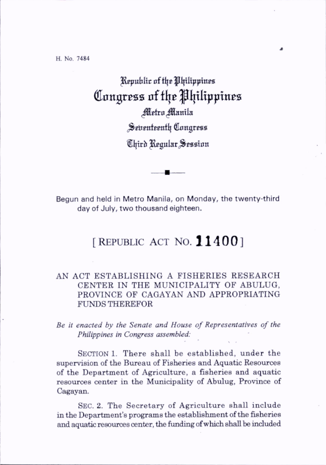Republic of the Philippines Congress of the Philippines Metro Manila Seventeenth Congress Chird Regular Session

Begun and held in Metro Manila, on Monday, the twenty-third day of July, two thousand eighteen.

## [REPUBLIC ACT NO.  $11400$ ]

## AN ACT ESTABLISHING A FISHERIES RESEARCH CENTER IN THE MUNICIPALITY OF ABULUG, PROVINCE OF CAGAYAN AND APPROPRIATING FUNDS THEREFOR

Be it enacted by the Senate and House of Representatives of the Philippines in Congress assembled:

SECTION 1. There shall be established, under the supervision of the Bureau of Fisheries and Aquatic Resources of the Department of Agriculture, a fisheries and aquatic resources center in the Municipality of Abulug, Province of Cagayan.

SEC. 2. The Secretary of Agriculture shall include in the Department's programs the establishment of the fisheries and aquatic resources center, the funding of which shall be included